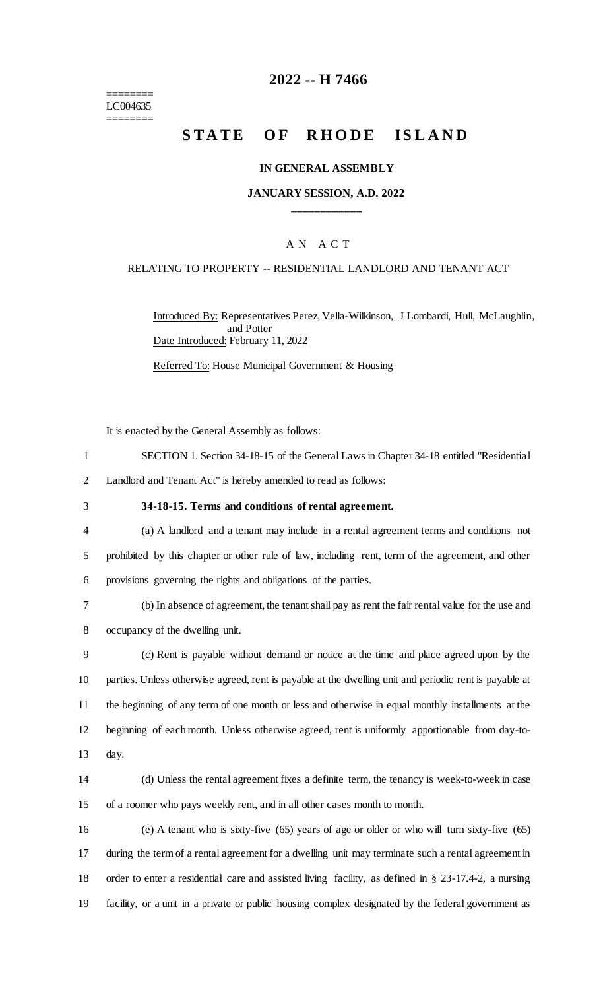======== LC004635 ========

## **2022 -- H 7466**

# **STATE OF RHODE ISLAND**

#### **IN GENERAL ASSEMBLY**

### **JANUARY SESSION, A.D. 2022 \_\_\_\_\_\_\_\_\_\_\_\_**

### A N A C T

#### RELATING TO PROPERTY -- RESIDENTIAL LANDLORD AND TENANT ACT

Introduced By: Representatives Perez, Vella-Wilkinson, J Lombardi, Hull, McLaughlin, and Potter Date Introduced: February 11, 2022

Referred To: House Municipal Government & Housing

It is enacted by the General Assembly as follows:

- 1 SECTION 1. Section 34-18-15 of the General Laws in Chapter 34-18 entitled "Residential 2 Landlord and Tenant Act" is hereby amended to read as follows:
- 

#### 3 **34-18-15. Terms and conditions of rental agreement.**

- 4 (a) A landlord and a tenant may include in a rental agreement terms and conditions not 5 prohibited by this chapter or other rule of law, including rent, term of the agreement, and other 6 provisions governing the rights and obligations of the parties.
- 7 (b) In absence of agreement, the tenant shall pay as rent the fair rental value for the use and 8 occupancy of the dwelling unit.
- 9 (c) Rent is payable without demand or notice at the time and place agreed upon by the 10 parties. Unless otherwise agreed, rent is payable at the dwelling unit and periodic rent is payable at 11 the beginning of any term of one month or less and otherwise in equal monthly installments at the 12 beginning of each month. Unless otherwise agreed, rent is uniformly apportionable from day-to-13 day.
- 14 (d) Unless the rental agreement fixes a definite term, the tenancy is week-to-week in case 15 of a roomer who pays weekly rent, and in all other cases month to month.
- 16 (e) A tenant who is sixty-five (65) years of age or older or who will turn sixty-five (65) 17 during the term of a rental agreement for a dwelling unit may terminate such a rental agreement in 18 order to enter a residential care and assisted living facility, as defined in § 23-17.4-2, a nursing 19 facility, or a unit in a private or public housing complex designated by the federal government as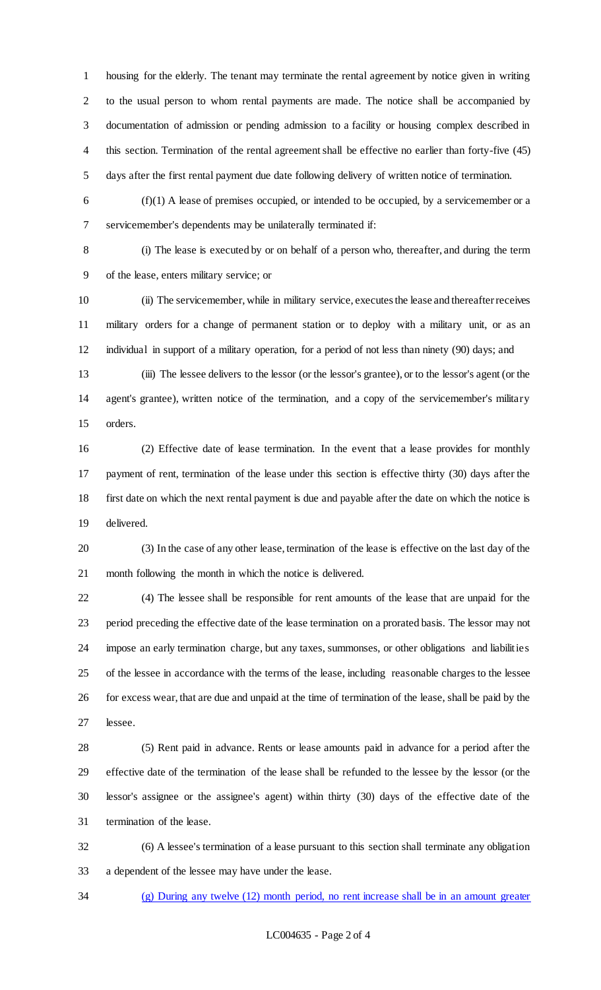housing for the elderly. The tenant may terminate the rental agreement by notice given in writing to the usual person to whom rental payments are made. The notice shall be accompanied by documentation of admission or pending admission to a facility or housing complex described in this section. Termination of the rental agreement shall be effective no earlier than forty-five (45) days after the first rental payment due date following delivery of written notice of termination.

 (f)(1) A lease of premises occupied, or intended to be occupied, by a servicemember or a servicemember's dependents may be unilaterally terminated if:

 (i) The lease is executed by or on behalf of a person who, thereafter, and during the term of the lease, enters military service; or

 (ii) The servicemember, while in military service, executes the lease and thereafter receives military orders for a change of permanent station or to deploy with a military unit, or as an individual in support of a military operation, for a period of not less than ninety (90) days; and

 (iii) The lessee delivers to the lessor (or the lessor's grantee), or to the lessor's agent (or the agent's grantee), written notice of the termination, and a copy of the servicemember's military orders.

 (2) Effective date of lease termination. In the event that a lease provides for monthly payment of rent, termination of the lease under this section is effective thirty (30) days after the first date on which the next rental payment is due and payable after the date on which the notice is delivered.

 (3) In the case of any other lease, termination of the lease is effective on the last day of the month following the month in which the notice is delivered.

 (4) The lessee shall be responsible for rent amounts of the lease that are unpaid for the period preceding the effective date of the lease termination on a prorated basis. The lessor may not impose an early termination charge, but any taxes, summonses, or other obligations and liabilities of the lessee in accordance with the terms of the lease, including reasonable charges to the lessee for excess wear, that are due and unpaid at the time of termination of the lease, shall be paid by the lessee.

 (5) Rent paid in advance. Rents or lease amounts paid in advance for a period after the effective date of the termination of the lease shall be refunded to the lessee by the lessor (or the lessor's assignee or the assignee's agent) within thirty (30) days of the effective date of the termination of the lease.

 (6) A lessee's termination of a lease pursuant to this section shall terminate any obligation a dependent of the lessee may have under the lease.

(g) During any twelve (12) month period, no rent increase shall be in an amount greater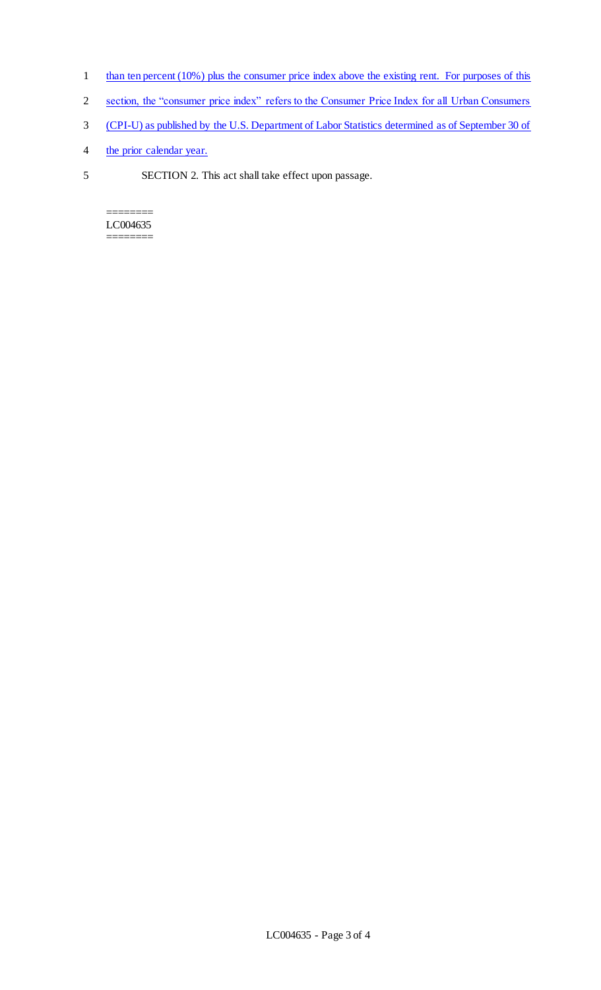- 1 than ten percent (10%) plus the consumer price index above the existing rent. For purposes of this
- 2 section, the "consumer price index" refers to the Consumer Price Index for all Urban Consumers
- 3 (CPI-U) as published by the U.S. Department of Labor Statistics determined as of September 30 of
- 4 the prior calendar year.
- 5 SECTION 2. This act shall take effect upon passage.

======== LC004635 ========